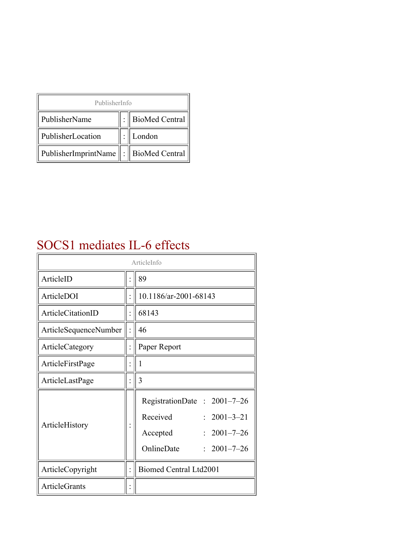| PublisherInfo                               |  |                    |  |  |
|---------------------------------------------|--|--------------------|--|--|
| PublisherName                               |  | :   BioMed Central |  |  |
| PublisherLocation                           |  | London             |  |  |
| PublisherImprintName    :    BioMed Central |  |                    |  |  |

#### SOCS1 mediates IL-6 effects

| ArticleInfo           |  |                                                                                                                                        |  |
|-----------------------|--|----------------------------------------------------------------------------------------------------------------------------------------|--|
| ArticleID             |  | 89                                                                                                                                     |  |
| ArticleDOI            |  | 10.1186/ar-2001-68143                                                                                                                  |  |
| ArticleCitationID     |  | 68143                                                                                                                                  |  |
| ArticleSequenceNumber |  | 46                                                                                                                                     |  |
| ArticleCategory       |  | Paper Report                                                                                                                           |  |
| ArticleFirstPage      |  | 1                                                                                                                                      |  |
| ArticleLastPage       |  | 3                                                                                                                                      |  |
| ArticleHistory        |  | RegistrationDate: 2001-7-26<br>Received<br>$2001 - 3 - 21$<br>$2001 - 7 - 26$<br>Accepted<br>OnlineDate<br>$2001 - 7 - 26$<br>$\gamma$ |  |
| ArticleCopyright      |  | <b>Biomed Central Ltd2001</b>                                                                                                          |  |
| <b>ArticleGrants</b>  |  |                                                                                                                                        |  |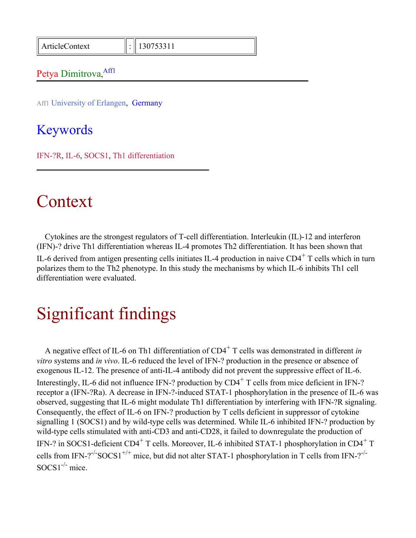ArticleContext : 130753311

#### Petya Dimitrova, Affl

Aff1 University of Erlangen, Germany

Keywords

IFN-?R, IL-6, SOCS1, Th1 differentiation

#### Context

Cytokines are the strongest regulators of T-cell differentiation. Interleukin (IL)-12 and interferon (IFN)-? drive Th1 differentiation whereas IL-4 promotes Th2 differentiation. It has been shown that IL-6 derived from antigen presenting cells initiates IL-4 production in naive  $CD4^+$  T cells which in turn polarizes them to the Th2 phenotype. In this study the mechanisms by which IL-6 inhibits Th1 cell differentiation were evaluated.

# Significant findings

A negative effect of IL-6 on Th1 differentiation of CD4<sup>+</sup> T cells was demonstrated in different *in vitro* systems and *in vivo*. IL-6 reduced the level of IFN-? production in the presence or absence of exogenous IL-12. The presence of anti-IL-4 antibody did not prevent the suppressive effect of IL-6. Interestingly, IL-6 did not influence IFN-? production by  $CD4^+$  T cells from mice deficient in IFN-? receptor a (IFN-?Ra). A decrease in IFN-?-induced STAT-1 phosphorylation in the presence of IL-6 was observed, suggesting that IL-6 might modulate Th1 differentiation by interfering with IFN-?R signaling. Consequently, the effect of IL-6 on IFN-? production by T cells deficient in suppressor of cytokine signalling 1 (SOCS1) and by wild-type cells was determined. While IL-6 inhibited IFN-? production by wild-type cells stimulated with anti-CD3 and anti-CD28, it failed to downregulate the production of IFN-? in SOCS1-deficient CD4<sup>+</sup> T cells. Moreover, IL-6 inhibited STAT-1 phosphorylation in CD4<sup>+</sup> T cells from IFN-?<sup>-/-</sup>SOCS1<sup>+/+</sup> mice, but did not alter STAT-1 phosphorylation in T cells from IFN-?<sup>-/-</sup>  $SOCS1^{-/-}$  mice.